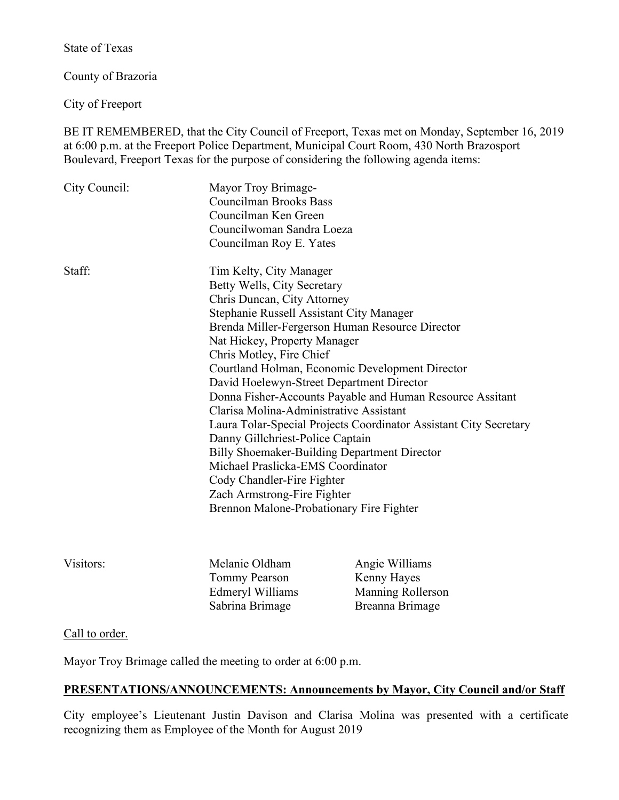State of Texas

County of Brazoria

City of Freeport

BE IT REMEMBERED, that the City Council of Freeport, Texas met on Monday, September 16, 2019 at 6:00 p.m. at the Freeport Police Department, Municipal Court Room, 430 North Brazosport Boulevard, Freeport Texas for the purpose of considering the following agenda items:

| City Council: | Mayor Troy Brimage-<br><b>Councilman Brooks Bass</b><br>Councilman Ken Green<br>Councilwoman Sandra Loeza<br>Councilman Roy E. Yates                                                                                                                                                                                                                                                                                       |                                                                                                                                                                                                                                                                                                                                          |
|---------------|----------------------------------------------------------------------------------------------------------------------------------------------------------------------------------------------------------------------------------------------------------------------------------------------------------------------------------------------------------------------------------------------------------------------------|------------------------------------------------------------------------------------------------------------------------------------------------------------------------------------------------------------------------------------------------------------------------------------------------------------------------------------------|
| Staff:        | Tim Kelty, City Manager<br>Betty Wells, City Secretary<br>Chris Duncan, City Attorney<br>Stephanie Russell Assistant City Manager<br>Nat Hickey, Property Manager<br>Chris Motley, Fire Chief<br>Clarisa Molina-Administrative Assistant<br>Danny Gillchriest-Police Captain<br>Michael Praslicka-EMS Coordinator<br>Cody Chandler-Fire Fighter<br>Zach Armstrong-Fire Fighter<br>Brennon Malone-Probationary Fire Fighter | Brenda Miller-Fergerson Human Resource Director<br>Courtland Holman, Economic Development Director<br>David Hoelewyn-Street Department Director<br>Donna Fisher-Accounts Payable and Human Resource Assitant<br>Laura Tolar-Special Projects Coordinator Assistant City Secretary<br><b>Billy Shoemaker-Building Department Director</b> |
| Visitors:     | Melanie Oldham                                                                                                                                                                                                                                                                                                                                                                                                             | Angie Williams                                                                                                                                                                                                                                                                                                                           |

Tommy Pearson Kenny Hayes

Edmeryl Williams Manning Rollerson Sabrina Brimage Breanna Brimage

# Call to order.

Mayor Troy Brimage called the meeting to order at 6:00 p.m.

# **PRESENTATIONS/ANNOUNCEMENTS: Announcements by Mayor, City Council and/or Staff**

City employee's Lieutenant Justin Davison and Clarisa Molina was presented with a certificate recognizing them as Employee of the Month for August 2019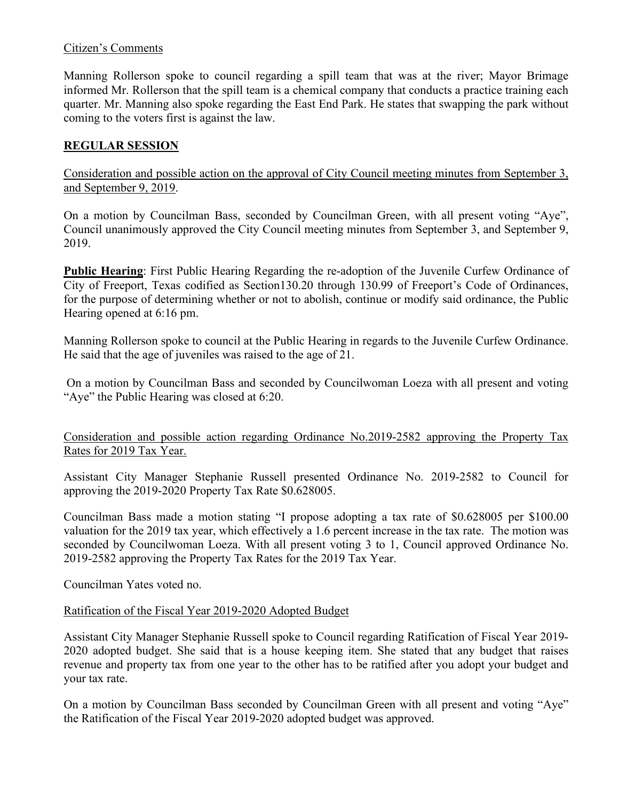# Citizen's Comments

Manning Rollerson spoke to council regarding a spill team that was at the river; Mayor Brimage informed Mr. Rollerson that the spill team is a chemical company that conducts a practice training each quarter. Mr. Manning also spoke regarding the East End Park. He states that swapping the park without coming to the voters first is against the law.

# **REGULAR SESSION**

Consideration and possible action on the approval of City Council meeting minutes from September 3, and September 9, 2019.

On a motion by Councilman Bass, seconded by Councilman Green, with all present voting "Aye", Council unanimously approved the City Council meeting minutes from September 3, and September 9, 2019.

**Public Hearing**: First Public Hearing Regarding the re-adoption of the Juvenile Curfew Ordinance of City of Freeport, Texas codified as Section130.20 through 130.99 of Freeport's Code of Ordinances, for the purpose of determining whether or not to abolish, continue or modify said ordinance, the Public Hearing opened at 6:16 pm.

Manning Rollerson spoke to council at the Public Hearing in regards to the Juvenile Curfew Ordinance. He said that the age of juveniles was raised to the age of 21.

On a motion by Councilman Bass and seconded by Councilwoman Loeza with all present and voting "Aye" the Public Hearing was closed at 6:20.

Consideration and possible action regarding Ordinance No.2019-2582 approving the Property Tax Rates for 2019 Tax Year.

Assistant City Manager Stephanie Russell presented Ordinance No. 2019-2582 to Council for approving the 2019-2020 Property Tax Rate \$0.628005.

Councilman Bass made a motion stating "I propose adopting a tax rate of \$0.628005 per \$100.00 valuation for the 2019 tax year, which effectively a 1.6 percent increase in the tax rate. The motion was seconded by Councilwoman Loeza. With all present voting 3 to 1, Council approved Ordinance No. 2019-2582 approving the Property Tax Rates for the 2019 Tax Year.

Councilman Yates voted no.

Ratification of the Fiscal Year 2019-2020 Adopted Budget

Assistant City Manager Stephanie Russell spoke to Council regarding Ratification of Fiscal Year 2019- 2020 adopted budget. She said that is a house keeping item. She stated that any budget that raises revenue and property tax from one year to the other has to be ratified after you adopt your budget and your tax rate.

On a motion by Councilman Bass seconded by Councilman Green with all present and voting "Aye" the Ratification of the Fiscal Year 2019-2020 adopted budget was approved.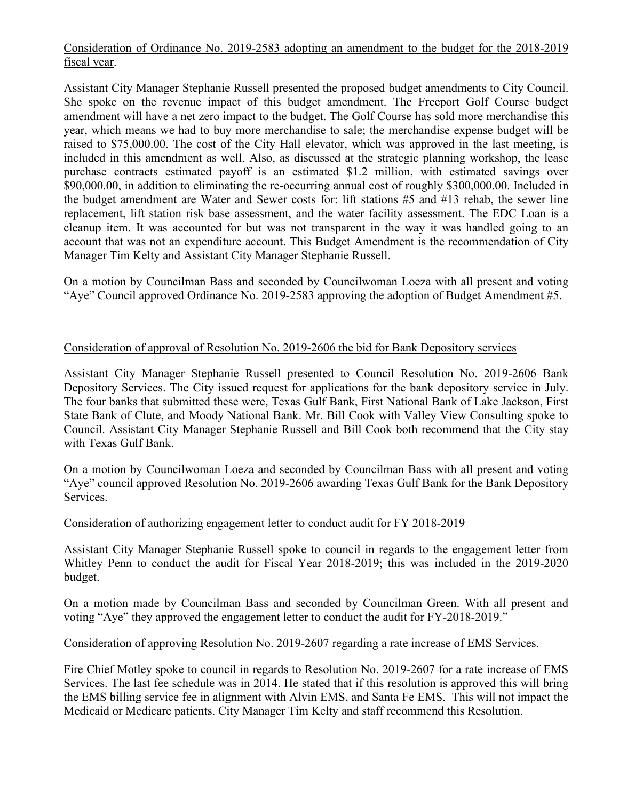Consideration of Ordinance No. 2019-2583 adopting an amendment to the budget for the 2018-2019 fiscal year.

Assistant City Manager Stephanie Russell presented the proposed budget amendments to City Council. She spoke on the revenue impact of this budget amendment. The Freeport Golf Course budget amendment will have a net zero impact to the budget. The Golf Course has sold more merchandise this year, which means we had to buy more merchandise to sale; the merchandise expense budget will be raised to \$75,000.00. The cost of the City Hall elevator, which was approved in the last meeting, is included in this amendment as well. Also, as discussed at the strategic planning workshop, the lease purchase contracts estimated payoff is an estimated \$1.2 million, with estimated savings over \$90,000.00, in addition to eliminating the re-occurring annual cost of roughly \$300,000.00. Included in the budget amendment are Water and Sewer costs for: lift stations #5 and #13 rehab, the sewer line replacement, lift station risk base assessment, and the water facility assessment. The EDC Loan is a cleanup item. It was accounted for but was not transparent in the way it was handled going to an account that was not an expenditure account. This Budget Amendment is the recommendation of City Manager Tim Kelty and Assistant City Manager Stephanie Russell.

On a motion by Councilman Bass and seconded by Councilwoman Loeza with all present and voting "Aye" Council approved Ordinance No. 2019-2583 approving the adoption of Budget Amendment #5.

# Consideration of approval of Resolution No. 2019-2606 the bid for Bank Depository services

Assistant City Manager Stephanie Russell presented to Council Resolution No. 2019-2606 Bank Depository Services. The City issued request for applications for the bank depository service in July. The four banks that submitted these were, Texas Gulf Bank, First National Bank of Lake Jackson, First State Bank of Clute, and Moody National Bank. Mr. Bill Cook with Valley View Consulting spoke to Council. Assistant City Manager Stephanie Russell and Bill Cook both recommend that the City stay with Texas Gulf Bank.

On a motion by Councilwoman Loeza and seconded by Councilman Bass with all present and voting "Aye" council approved Resolution No. 2019-2606 awarding Texas Gulf Bank for the Bank Depository Services.

### Consideration of authorizing engagement letter to conduct audit for FY 2018-2019

Assistant City Manager Stephanie Russell spoke to council in regards to the engagement letter from Whitley Penn to conduct the audit for Fiscal Year 2018-2019; this was included in the 2019-2020 budget.

On a motion made by Councilman Bass and seconded by Councilman Green. With all present and voting "Aye" they approved the engagement letter to conduct the audit for FY-2018-2019."

#### Consideration of approving Resolution No. 2019-2607 regarding a rate increase of EMS Services.

Fire Chief Motley spoke to council in regards to Resolution No. 2019-2607 for a rate increase of EMS Services. The last fee schedule was in 2014. He stated that if this resolution is approved this will bring the EMS billing service fee in alignment with Alvin EMS, and Santa Fe EMS. This will not impact the Medicaid or Medicare patients. City Manager Tim Kelty and staff recommend this Resolution.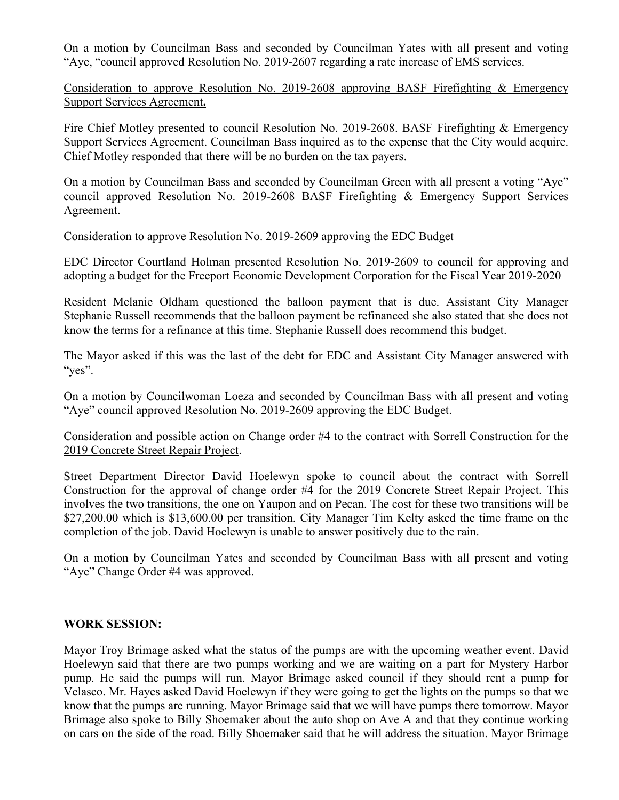On a motion by Councilman Bass and seconded by Councilman Yates with all present and voting "Aye, "council approved Resolution No. 2019-2607 regarding a rate increase of EMS services.

### Consideration to approve Resolution No. 2019-2608 approving BASF Firefighting & Emergency Support Services Agreement**.**

Fire Chief Motley presented to council Resolution No. 2019-2608. BASF Firefighting & Emergency Support Services Agreement. Councilman Bass inquired as to the expense that the City would acquire. Chief Motley responded that there will be no burden on the tax payers.

On a motion by Councilman Bass and seconded by Councilman Green with all present a voting "Aye" council approved Resolution No. 2019-2608 BASF Firefighting & Emergency Support Services Agreement.

#### Consideration to approve Resolution No. 2019-2609 approving the EDC Budget

EDC Director Courtland Holman presented Resolution No. 2019-2609 to council for approving and adopting a budget for the Freeport Economic Development Corporation for the Fiscal Year 2019-2020

Resident Melanie Oldham questioned the balloon payment that is due. Assistant City Manager Stephanie Russell recommends that the balloon payment be refinanced she also stated that she does not know the terms for a refinance at this time. Stephanie Russell does recommend this budget.

The Mayor asked if this was the last of the debt for EDC and Assistant City Manager answered with "yes".

On a motion by Councilwoman Loeza and seconded by Councilman Bass with all present and voting "Aye" council approved Resolution No. 2019-2609 approving the EDC Budget.

### Consideration and possible action on Change order #4 to the contract with Sorrell Construction for the 2019 Concrete Street Repair Project.

Street Department Director David Hoelewyn spoke to council about the contract with Sorrell Construction for the approval of change order #4 for the 2019 Concrete Street Repair Project. This involves the two transitions, the one on Yaupon and on Pecan. The cost for these two transitions will be \$27,200.00 which is \$13,600.00 per transition. City Manager Tim Kelty asked the time frame on the completion of the job. David Hoelewyn is unable to answer positively due to the rain.

On a motion by Councilman Yates and seconded by Councilman Bass with all present and voting "Aye" Change Order #4 was approved.

### **WORK SESSION:**

Mayor Troy Brimage asked what the status of the pumps are with the upcoming weather event. David Hoelewyn said that there are two pumps working and we are waiting on a part for Mystery Harbor pump. He said the pumps will run. Mayor Brimage asked council if they should rent a pump for Velasco. Mr. Hayes asked David Hoelewyn if they were going to get the lights on the pumps so that we know that the pumps are running. Mayor Brimage said that we will have pumps there tomorrow. Mayor Brimage also spoke to Billy Shoemaker about the auto shop on Ave A and that they continue working on cars on the side of the road. Billy Shoemaker said that he will address the situation. Mayor Brimage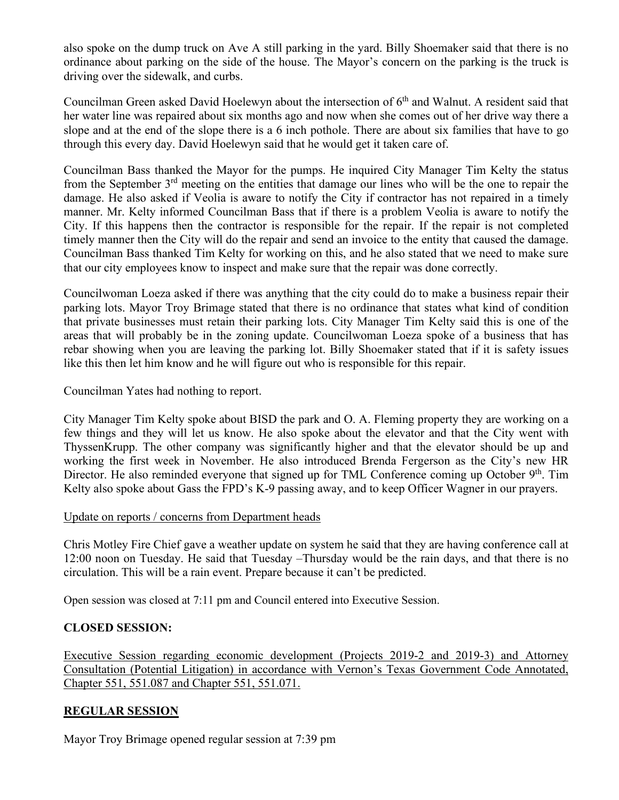also spoke on the dump truck on Ave A still parking in the yard. Billy Shoemaker said that there is no ordinance about parking on the side of the house. The Mayor's concern on the parking is the truck is driving over the sidewalk, and curbs.

Councilman Green asked David Hoelewyn about the intersection of 6<sup>th</sup> and Walnut. A resident said that her water line was repaired about six months ago and now when she comes out of her drive way there a slope and at the end of the slope there is a 6 inch pothole. There are about six families that have to go through this every day. David Hoelewyn said that he would get it taken care of.

Councilman Bass thanked the Mayor for the pumps. He inquired City Manager Tim Kelty the status from the September 3<sup>rd</sup> meeting on the entities that damage our lines who will be the one to repair the damage. He also asked if Veolia is aware to notify the City if contractor has not repaired in a timely manner. Mr. Kelty informed Councilman Bass that if there is a problem Veolia is aware to notify the City. If this happens then the contractor is responsible for the repair. If the repair is not completed timely manner then the City will do the repair and send an invoice to the entity that caused the damage. Councilman Bass thanked Tim Kelty for working on this, and he also stated that we need to make sure that our city employees know to inspect and make sure that the repair was done correctly.

Councilwoman Loeza asked if there was anything that the city could do to make a business repair their parking lots. Mayor Troy Brimage stated that there is no ordinance that states what kind of condition that private businesses must retain their parking lots. City Manager Tim Kelty said this is one of the areas that will probably be in the zoning update. Councilwoman Loeza spoke of a business that has rebar showing when you are leaving the parking lot. Billy Shoemaker stated that if it is safety issues like this then let him know and he will figure out who is responsible for this repair.

Councilman Yates had nothing to report.

City Manager Tim Kelty spoke about BISD the park and O. A. Fleming property they are working on a few things and they will let us know. He also spoke about the elevator and that the City went with ThyssenKrupp. The other company was significantly higher and that the elevator should be up and working the first week in November. He also introduced Brenda Fergerson as the City's new HR Director. He also reminded everyone that signed up for TML Conference coming up October  $9<sup>th</sup>$ . Tim Kelty also spoke about Gass the FPD's K-9 passing away, and to keep Officer Wagner in our prayers.

# Update on reports / concerns from Department heads

Chris Motley Fire Chief gave a weather update on system he said that they are having conference call at 12:00 noon on Tuesday. He said that Tuesday –Thursday would be the rain days, and that there is no circulation. This will be a rain event. Prepare because it can't be predicted.

Open session was closed at 7:11 pm and Council entered into Executive Session.

# **CLOSED SESSION:**

Executive Session regarding economic development (Projects 2019-2 and 2019-3) and Attorney Consultation (Potential Litigation) in accordance with Vernon's Texas Government Code Annotated, Chapter 551, 551.087 and Chapter 551, 551.071.

# **REGULAR SESSION**

Mayor Troy Brimage opened regular session at 7:39 pm